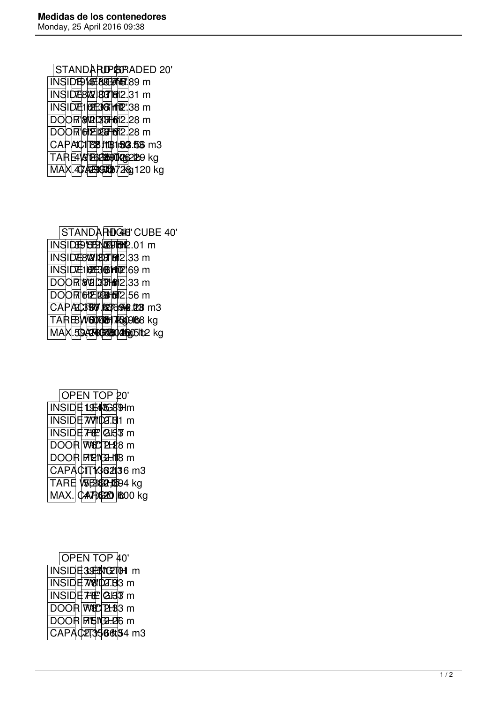STANDARID 20' INSIDE LE 800 7 189 m INSIDE 812 83 81 m **INSIDE 10E38 HTM** 38 m DOOR 872 28 m DOOR 6225 622.28 m CAPAC1 83 113 150 56 m3 TARE 419 **BGB90126**2129 kg  $MAX$  $47.4999$  $MBD$  $728$ g 120 kg

STANDARDGE CUBE 40' INSIDE LENGTHE 301 m **INSIDE 8'2' 87 87 812.33 m INSIDE 102E3 @MT 169 m**  $\overline{DOOR}$   $\overline{W}$  $\overline{W}$  $\overline{W}$  $\overline{W}$  $\overline{W}$  $\overline{W}$  $\overline{W}$  $\overline{W}$  $\overline{W}$  $\overline{W}$  $\overline{W}$  $\overline{W}$  $\overline{W}$  $\overline{W}$  $\overline{W}$  $\overline{W}$  $\overline{W}$  $\overline{W}$  $\overline{W}$  $\overline{W}$  $\overline{W}$  $\overline{W}$  $\overline{W}$  $\overline{W}$  $\overline{W}$  $\overline{W}$  $\over$  $\overline{DOOR}$  $\overline{612}$  $\overline{121}$  $\overline{131}$  $\overline{131}$  $\overline{131}$  $\overline{156}$  $\overline{191}$ CAP**AC380 6836948.28** m3 TARE WEIDORD 1500 lb 3 kg MAX.59,4940 380 2860 51 b2 kg

|  | OPEN TOP 20'              |  |  |  |  |
|--|---------------------------|--|--|--|--|
|  | <b>INSIDE 1974/5689Hm</b> |  |  |  |  |
|  | ΠNSIDE 7W1l027.Bl1 m      |  |  |  |  |
|  | INSIDE 7'E   GB3 m        |  |  |  |  |
|  | DOOR WOD 21-28 m          |  |  |  |  |
|  | DOOR FIEIGHTB m           |  |  |  |  |
|  | CAPACIT1362136 m3         |  |  |  |  |
|  | TARE VSE3892-10594 kg     |  |  |  |  |
|  | MAX. CAT G20 600 kg       |  |  |  |  |
|  |                           |  |  |  |  |

|  |  |  | <b>OPEN TOP 40'</b> |                       |
|--|--|--|---------------------|-----------------------|
|  |  |  |                     | INSIDE395WG2101 m     |
|  |  |  |                     | INSIDEi7w8tl0a7.Bl3 m |
|  |  |  |                     | INSIDE 7 E GBT m      |
|  |  |  |                     | DOOR W8D 21-83 m      |
|  |  |  |                     | DOOR FIBIGE-DO m      |
|  |  |  |                     | CAPAC213566t54 m3     |